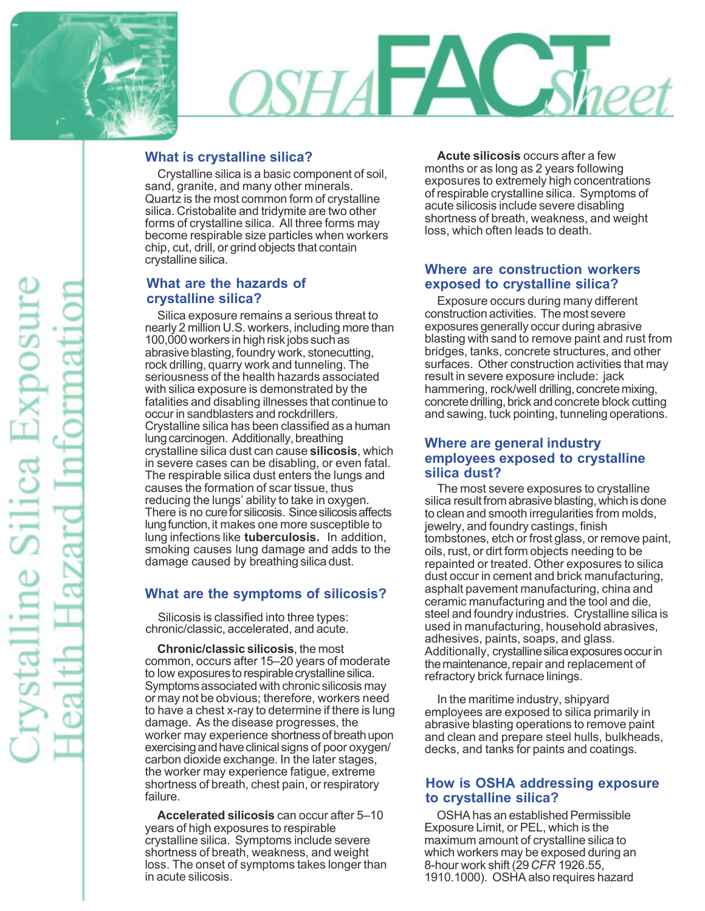

# $\bigcirc$ SHA $\bigcirc$ NC Sheet

## **What is crystalline silica?**

Crystalline silica is a basic component of soil, sand, granite, and many other minerals. Quartz is the most common form of crystalline silica. Cristobalite and tridymite are two other forms of crystalline silica. All three forms may become respirable size particles when workers chip, cut, drill, or grind objects that contain crystalline silica.

#### **What are the hazards of crystalline silica?**

Silica exposure remains a serious threat to nearly 2 million U.S. workers, including more than 100,000 workers in high risk jobs such as abrasive blasting, foundry work, stonecutting, rock drilling, quarry work and tunneling. The seriousness of the health hazards associated with silica exposure is demonstrated by the fatalities and disabling illnesses that continue to occur in sandblasters and rockdrillers. Crystalline silica has been classified as a human lung carcinogen. Additionally, breathing crystalline silica dust can cause **silicosis**, which in severe cases can be disabling, or even fatal. The respirable silica dust enters the lungs and causes the formation of scar tissue, thus reducing the lungs' ability to take in oxygen. There is no cure for silicosis. Since silicosis affects lung function, it makes one more susceptible to lung infections like **tuberculosis.** In addition, smoking causes lung damage and adds to the damage caused by breathing silica dust.

# **What are the symptoms of silicosis?**

Silicosis is classified into three types: chronic/classic, accelerated, and acute.

**Chronic/classic silicosis**, the most common, occurs after 15–20 years of moderate to low exposures to respirable crystalline silica. Symptoms associated with chronic silicosis may or may not be obvious; therefore, workers need to have a chest x-ray to determine if there is lung damage. As the disease progresses, the worker may experience shortness of breath upon exercising and have clinical signs of poor oxygen/ carbon dioxide exchange. In the later stages, the worker may experience fatigue, extreme shortness of breath, chest pain, or respiratory failure.

**Accelerated silicosis** can occur after 5–10 years of high exposures to respirable crystalline silica. Symptoms include severe shortness of breath, weakness, and weight loss. The onset of symptoms takes longer than in acute silicosis.

**Acute silicosis** occurs after a few months or as long as 2 years following exposures to extremely high concentrations of respirable crystalline silica. Symptoms of acute silicosis include severe disabling shortness of breath, weakness, and weight loss, which often leads to death.

#### **Where are construction workers exposed to crystalline silica?**

Exposure occurs during many different construction activities. The most severe exposures generally occur during abrasive blasting with sand to remove paint and rust from bridges, tanks, concrete structures, and other surfaces. Other construction activities that may result in severe exposure include: jack hammering, rock/well drilling, concrete mixing, concrete drilling, brick and concrete block cutting and sawing, tuck pointing, tunneling operations.

#### **Where are general industry employees exposed to crystalline silica dust?**

The most severe exposures to crystalline silica result from abrasive blasting, which is done to clean and smooth irregularities from molds, jewelry, and foundry castings, finish tombstones, etch or frost glass, or remove paint, oils, rust, or dirt form objects needing to be repainted or treated. Other exposures to silica dust occur in cement and brick manufacturing, asphalt pavement manufacturing, china and ceramic manufacturing and the tool and die, steel and foundry industries. Crystalline silica is used in manufacturing, household abrasives, adhesives, paints, soaps, and glass. Additionally, crystalline silica exposures occur in the maintenance, repair and replacement of refractory brick furnace linings.

In the maritime industry, shipyard employees are exposed to silica primarily in abrasive blasting operations to remove paint and clean and prepare steel hulls, bulkheads, decks, and tanks for paints and coatings.

#### **How is OSHA addressing exposure to crystalline silica?**

OSHA has an established Permissible Exposure Limit, or PEL, which is the maximum amount of crystalline silica to which workers may be exposed during an 8-hour work shift (29 *CFR* 1926.55, 1910.1000). OSHA also requires hazard